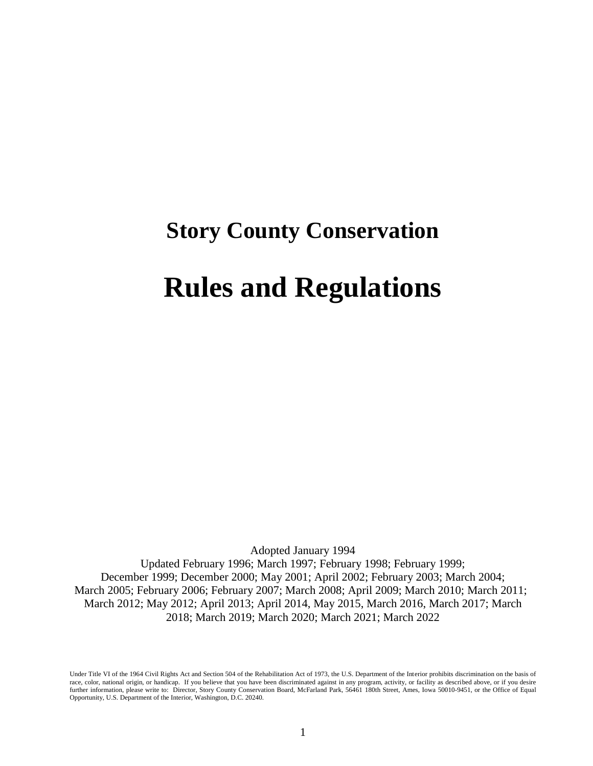# **Story County Conservation**

## **Rules and Regulations**

Adopted January 1994 Updated February 1996; March 1997; February 1998; February 1999; December 1999; December 2000; May 2001; April 2002; February 2003; March 2004; March 2005; February 2006; February 2007; March 2008; April 2009; March 2010; March 2011; March 2012; May 2012; April 2013; April 2014, May 2015, March 2016, March 2017; March 2018; March 2019; March 2020; March 2021; March 2022

Under Title VI of the 1964 Civil Rights Act and Section 504 of the Rehabilitation Act of 1973, the U.S. Department of the Interior prohibits discrimination on the basis of race, color, national origin, or handicap. If you believe that you have been discriminated against in any program, activity, or facility as described above, or if you desire further information, please write to: Director, Story County Conservation Board, McFarland Park, 56461 180th Street, Ames, Iowa 50010-9451, or the Office of Equal Opportunity, U.S. Department of the Interior, Washington, D.C. 20240.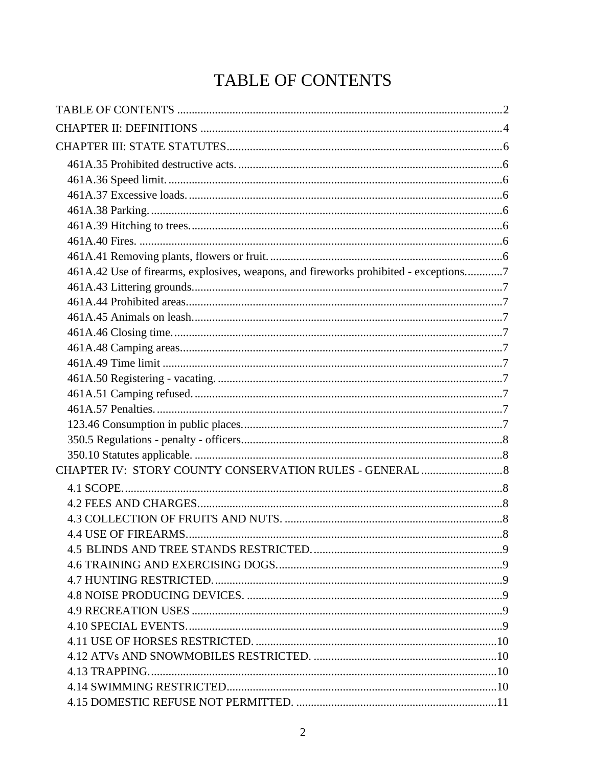## **TABLE OF CONTENTS**

| 461A.42 Use of firearms, explosives, weapons, and fireworks prohibited - exceptions7 |  |
|--------------------------------------------------------------------------------------|--|
|                                                                                      |  |
|                                                                                      |  |
|                                                                                      |  |
|                                                                                      |  |
|                                                                                      |  |
|                                                                                      |  |
|                                                                                      |  |
|                                                                                      |  |
|                                                                                      |  |
|                                                                                      |  |
|                                                                                      |  |
|                                                                                      |  |
|                                                                                      |  |
|                                                                                      |  |
|                                                                                      |  |
|                                                                                      |  |
| <b>4.4 USE OF FIREARMS</b>                                                           |  |
|                                                                                      |  |
|                                                                                      |  |
|                                                                                      |  |
|                                                                                      |  |
|                                                                                      |  |
|                                                                                      |  |
|                                                                                      |  |
|                                                                                      |  |
|                                                                                      |  |
|                                                                                      |  |
|                                                                                      |  |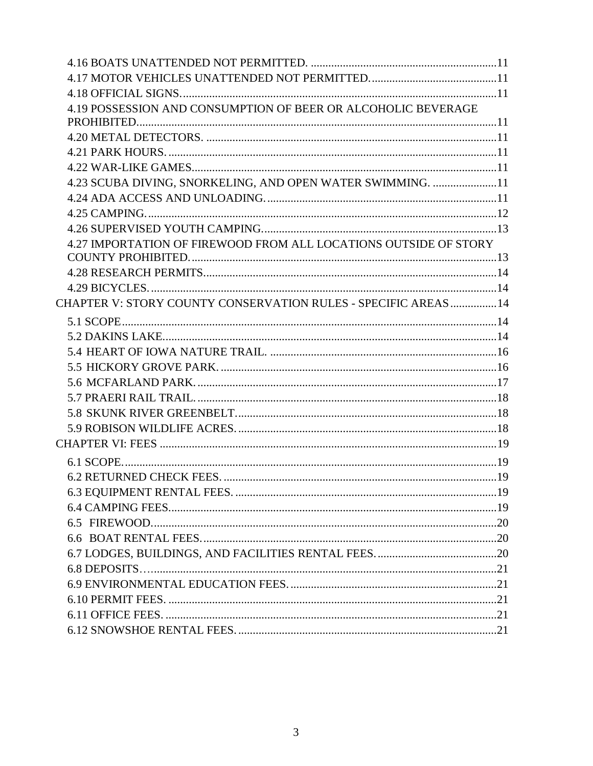| 4.19 POSSESSION AND CONSUMPTION OF BEER OR ALCOHOLIC BEVERAGE    |  |
|------------------------------------------------------------------|--|
|                                                                  |  |
|                                                                  |  |
|                                                                  |  |
|                                                                  |  |
| 4.23 SCUBA DIVING, SNORKELING, AND OPEN WATER SWIMMING. 11       |  |
|                                                                  |  |
|                                                                  |  |
|                                                                  |  |
| 4.27 IMPORTATION OF FIREWOOD FROM ALL LOCATIONS OUTSIDE OF STORY |  |
|                                                                  |  |
|                                                                  |  |
|                                                                  |  |
| CHAPTER V: STORY COUNTY CONSERVATION RULES - SPECIFIC AREAS  14  |  |
|                                                                  |  |
|                                                                  |  |
|                                                                  |  |
|                                                                  |  |
|                                                                  |  |
|                                                                  |  |
|                                                                  |  |
|                                                                  |  |
|                                                                  |  |
|                                                                  |  |
|                                                                  |  |
|                                                                  |  |
|                                                                  |  |
|                                                                  |  |
|                                                                  |  |
|                                                                  |  |
|                                                                  |  |
|                                                                  |  |
|                                                                  |  |
|                                                                  |  |
|                                                                  |  |
|                                                                  |  |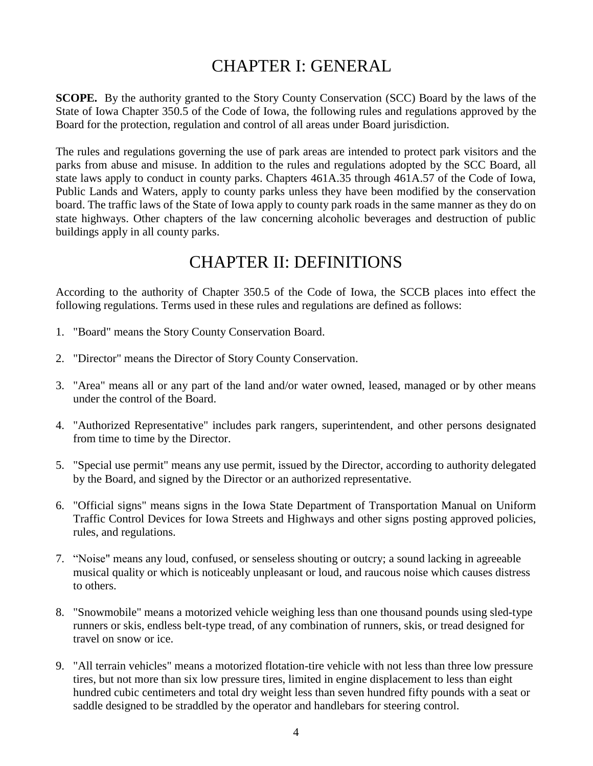## CHAPTER I: GENERAL

**SCOPE.** By the authority granted to the Story County Conservation (SCC) Board by the laws of the State of Iowa Chapter 350.5 of the Code of Iowa, the following rules and regulations approved by the Board for the protection, regulation and control of all areas under Board jurisdiction.

The rules and regulations governing the use of park areas are intended to protect park visitors and the parks from abuse and misuse. In addition to the rules and regulations adopted by the SCC Board, all state laws apply to conduct in county parks. Chapters 461A.35 through 461A.57 of the Code of Iowa, Public Lands and Waters, apply to county parks unless they have been modified by the conservation board. The traffic laws of the State of Iowa apply to county park roads in the same manner as they do on state highways. Other chapters of the law concerning alcoholic beverages and destruction of public buildings apply in all county parks.

### CHAPTER II: DEFINITIONS

According to the authority of Chapter 350.5 of the Code of Iowa, the SCCB places into effect the following regulations. Terms used in these rules and regulations are defined as follows:

- 1. "Board" means the Story County Conservation Board.
- 2. "Director" means the Director of Story County Conservation.
- 3. "Area" means all or any part of the land and/or water owned, leased, managed or by other means under the control of the Board.
- 4. "Authorized Representative" includes park rangers, superintendent, and other persons designated from time to time by the Director.
- 5. "Special use permit" means any use permit, issued by the Director, according to authority delegated by the Board, and signed by the Director or an authorized representative.
- 6. "Official signs" means signs in the Iowa State Department of Transportation Manual on Uniform Traffic Control Devices for Iowa Streets and Highways and other signs posting approved policies, rules, and regulations.
- 7. "Noise" means any loud, confused, or senseless shouting or outcry; a sound lacking in agreeable musical quality or which is noticeably unpleasant or loud, and raucous noise which causes distress to others.
- 8. "Snowmobile" means a motorized vehicle weighing less than one thousand pounds using sled-type runners or skis, endless belt-type tread, of any combination of runners, skis, or tread designed for travel on snow or ice.
- 9. "All terrain vehicles" means a motorized flotation-tire vehicle with not less than three low pressure tires, but not more than six low pressure tires, limited in engine displacement to less than eight hundred cubic centimeters and total dry weight less than seven hundred fifty pounds with a seat or saddle designed to be straddled by the operator and handlebars for steering control.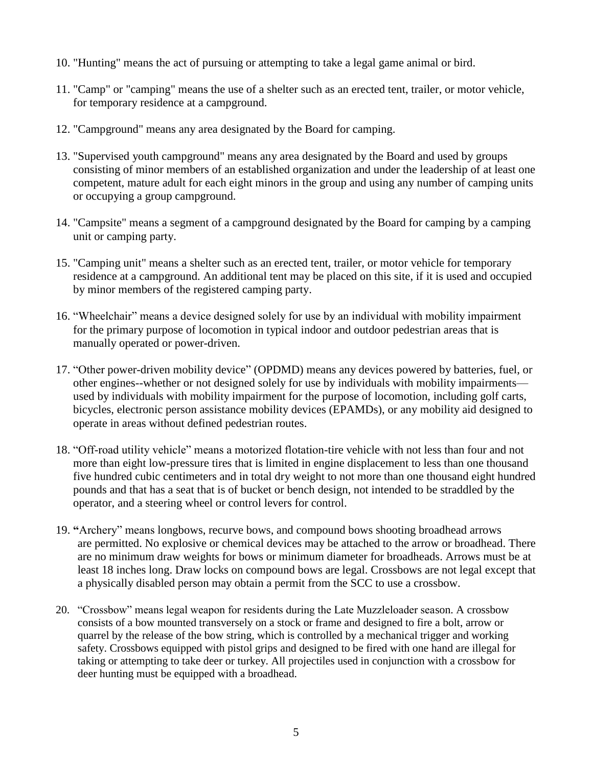- 10. "Hunting" means the act of pursuing or attempting to take a legal game animal or bird.
- 11. "Camp" or "camping" means the use of a shelter such as an erected tent, trailer, or motor vehicle, for temporary residence at a campground.
- 12. "Campground" means any area designated by the Board for camping.
- 13. "Supervised youth campground" means any area designated by the Board and used by groups consisting of minor members of an established organization and under the leadership of at least one competent, mature adult for each eight minors in the group and using any number of camping units or occupying a group campground.
- 14. "Campsite" means a segment of a campground designated by the Board for camping by a camping unit or camping party.
- 15. "Camping unit" means a shelter such as an erected tent, trailer, or motor vehicle for temporary residence at a campground. An additional tent may be placed on this site, if it is used and occupied by minor members of the registered camping party.
- 16. "Wheelchair" means a device designed solely for use by an individual with mobility impairment for the primary purpose of locomotion in typical indoor and outdoor pedestrian areas that is manually operated or power-driven.
- 17. "Other power-driven mobility device" (OPDMD) means any devices powered by batteries, fuel, or other engines--whether or not designed solely for use by individuals with mobility impairments used by individuals with mobility impairment for the purpose of locomotion, including golf carts, bicycles, electronic person assistance mobility devices (EPAMDs), or any mobility aid designed to operate in areas without defined pedestrian routes.
- 18. "Off-road utility vehicle" means a motorized flotation-tire vehicle with not less than four and not more than eight low-pressure tires that is limited in engine displacement to less than one thousand five hundred cubic centimeters and in total dry weight to not more than one thousand eight hundred pounds and that has a seat that is of bucket or bench design, not intended to be straddled by the operator, and a steering wheel or control levers for control.
- 19. **"**Archery" means longbows, recurve bows, and compound bows shooting broadhead arrows are permitted. No explosive or chemical devices may be attached to the arrow or broadhead. There are no minimum draw weights for bows or minimum diameter for broadheads. Arrows must be at least 18 inches long. Draw locks on compound bows are legal. Crossbows are not legal except that a physically disabled person may obtain a permit from the SCC to use a crossbow.
- 20. "Crossbow" means legal weapon for residents during the Late Muzzleloader season. A crossbow consists of a bow mounted transversely on a stock or frame and designed to fire a bolt, arrow or quarrel by the release of the bow string, which is controlled by a mechanical trigger and working safety. Crossbows equipped with pistol grips and designed to be fired with one hand are illegal for taking or attempting to take deer or turkey. All projectiles used in conjunction with a crossbow for deer hunting must be equipped with a broadhead.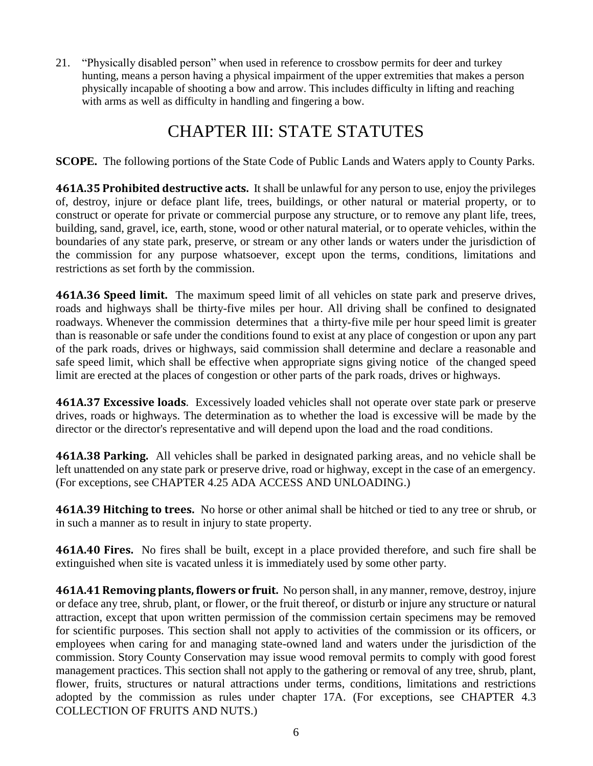21. "Physically disabled person" when used in reference to crossbow permits for deer and turkey hunting, means a person having a physical impairment of the upper extremities that makes a person physically incapable of shooting a bow and arrow. This includes difficulty in lifting and reaching with arms as well as difficulty in handling and fingering a bow.

## CHAPTER III: STATE STATUTES

**SCOPE.** The following portions of the State Code of Public Lands and Waters apply to County Parks.

**461A.35 Prohibited destructive acts.** It shall be unlawful for any person to use, enjoy the privileges of, destroy, injure or deface plant life, trees, buildings, or other natural or material property, or to construct or operate for private or commercial purpose any structure, or to remove any plant life, trees, building, sand, gravel, ice, earth, stone, wood or other natural material, or to operate vehicles, within the boundaries of any state park, preserve, or stream or any other lands or waters under the jurisdiction of the commission for any purpose whatsoever, except upon the terms, conditions, limitations and restrictions as set forth by the commission.

**461A.36 Speed limit.** The maximum speed limit of all vehicles on state park and preserve drives, roads and highways shall be thirty-five miles per hour. All driving shall be confined to designated roadways. Whenever the commission determines that a thirty-five mile per hour speed limit is greater than is reasonable or safe under the conditions found to exist at any place of congestion or upon any part of the park roads, drives or highways, said commission shall determine and declare a reasonable and safe speed limit, which shall be effective when appropriate signs giving notice of the changed speed limit are erected at the places of congestion or other parts of the park roads, drives or highways.

**461A.37 Excessive loads**. Excessively loaded vehicles shall not operate over state park or preserve drives, roads or highways. The determination as to whether the load is excessive will be made by the director or the director's representative and will depend upon the load and the road conditions.

**461A.38 Parking.** All vehicles shall be parked in designated parking areas, and no vehicle shall be left unattended on any state park or preserve drive, road or highway, except in the case of an emergency. (For exceptions, see CHAPTER 4.25 ADA ACCESS AND UNLOADING.)

**461A.39 Hitching to trees.** No horse or other animal shall be hitched or tied to any tree or shrub, or in such a manner as to result in injury to state property.

**461A.40 Fires.** No fires shall be built, except in a place provided therefore, and such fire shall be extinguished when site is vacated unless it is immediately used by some other party.

**461A.41 Removing plants, flowers or fruit.** No person shall, in any manner, remove, destroy, injure or deface any tree, shrub, plant, or flower, or the fruit thereof, or disturb or injure any structure or natural attraction, except that upon written permission of the commission certain specimens may be removed for scientific purposes. This section shall not apply to activities of the commission or its officers, or employees when caring for and managing state-owned land and waters under the jurisdiction of the commission. Story County Conservation may issue wood removal permits to comply with good forest management practices. This section shall not apply to the gathering or removal of any tree, shrub, plant, flower, fruits, structures or natural attractions under terms, conditions, limitations and restrictions adopted by the commission as rules under chapter 17A. (For exceptions, see CHAPTER 4.3 COLLECTION OF FRUITS AND NUTS.)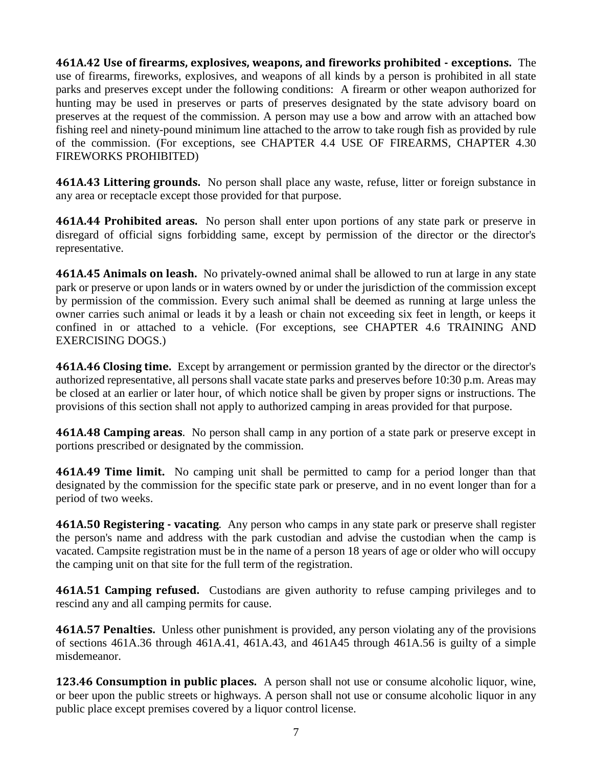**461A.42 Use of firearms, explosives, weapons, and fireworks prohibited - exceptions.** The use of firearms, fireworks, explosives, and weapons of all kinds by a person is prohibited in all state parks and preserves except under the following conditions: A firearm or other weapon authorized for hunting may be used in preserves or parts of preserves designated by the state advisory board on preserves at the request of the commission. A person may use a bow and arrow with an attached bow fishing reel and ninety-pound minimum line attached to the arrow to take rough fish as provided by rule of the commission. (For exceptions, see CHAPTER 4.4 USE OF FIREARMS, CHAPTER 4.30 FIREWORKS PROHIBITED)

**461A.43 Littering grounds.** No person shall place any waste, refuse, litter or foreign substance in any area or receptacle except those provided for that purpose.

**461A.44 Prohibited areas.** No person shall enter upon portions of any state park or preserve in disregard of official signs forbidding same, except by permission of the director or the director's representative.

**461A.45 Animals on leash.** No privately-owned animal shall be allowed to run at large in any state park or preserve or upon lands or in waters owned by or under the jurisdiction of the commission except by permission of the commission. Every such animal shall be deemed as running at large unless the owner carries such animal or leads it by a leash or chain not exceeding six feet in length, or keeps it confined in or attached to a vehicle. (For exceptions, see CHAPTER 4.6 TRAINING AND EXERCISING DOGS.)

**461A.46 Closing time.** Except by arrangement or permission granted by the director or the director's authorized representative, all persons shall vacate state parks and preserves before 10:30 p.m. Areas may be closed at an earlier or later hour, of which notice shall be given by proper signs or instructions. The provisions of this section shall not apply to authorized camping in areas provided for that purpose.

**461A.48 Camping areas**. No person shall camp in any portion of a state park or preserve except in portions prescribed or designated by the commission.

**461A.49 Time limit.** No camping unit shall be permitted to camp for a period longer than that designated by the commission for the specific state park or preserve, and in no event longer than for a period of two weeks.

**461A.50 Registering - vacating**. Any person who camps in any state park or preserve shall register the person's name and address with the park custodian and advise the custodian when the camp is vacated. Campsite registration must be in the name of a person 18 years of age or older who will occupy the camping unit on that site for the full term of the registration.

**461A.51 Camping refused.** Custodians are given authority to refuse camping privileges and to rescind any and all camping permits for cause.

**461A.57 Penalties.** Unless other punishment is provided, any person violating any of the provisions of sections 461A.36 through 461A.41, 461A.43, and 461A45 through 461A.56 is guilty of a simple misdemeanor.

**123.46 Consumption in public places.** A person shall not use or consume alcoholic liquor, wine, or beer upon the public streets or highways. A person shall not use or consume alcoholic liquor in any public place except premises covered by a liquor control license.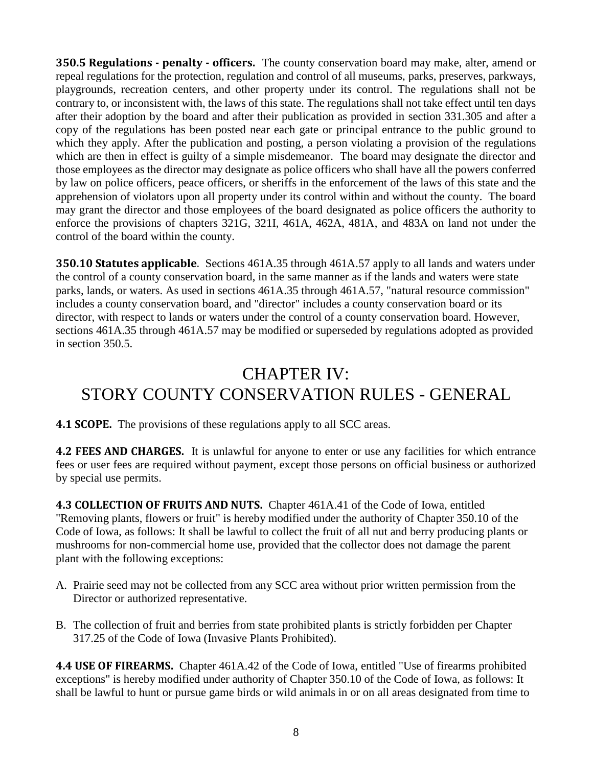**350.5 Regulations - penalty - officers.** The county conservation board may make, alter, amend or repeal regulations for the protection, regulation and control of all museums, parks, preserves, parkways, playgrounds, recreation centers, and other property under its control. The regulations shall not be contrary to, or inconsistent with, the laws of this state. The regulations shall not take effect until ten days after their adoption by the board and after their publication as provided in section 331.305 and after a copy of the regulations has been posted near each gate or principal entrance to the public ground to which they apply. After the publication and posting, a person violating a provision of the regulations which are then in effect is guilty of a simple misdemeanor. The board may designate the director and those employees as the director may designate as police officers who shall have all the powers conferred by law on police officers, peace officers, or sheriffs in the enforcement of the laws of this state and the apprehension of violators upon all property under its control within and without the county. The board may grant the director and those employees of the board designated as police officers the authority to enforce the provisions of chapters 321G, 321I, 461A, 462A, 481A, and 483A on land not under the control of the board within the county.

**350.10 Statutes applicable**. Sections 461A.35 through 461A.57 apply to all lands and waters under the control of a county conservation board, in the same manner as if the lands and waters were state parks, lands, or waters. As used in sections 461A.35 through 461A.57, "natural resource commission" includes a county conservation board, and "director" includes a county conservation board or its director, with respect to lands or waters under the control of a county conservation board. However, sections 461A.35 through 461A.57 may be modified or superseded by regulations adopted as provided in section 350.5.

## CHAPTER IV: STORY COUNTY CONSERVATION RULES - GENERAL

**4.1 SCOPE.** The provisions of these regulations apply to all SCC areas.

**4.2 FEES AND CHARGES.** It is unlawful for anyone to enter or use any facilities for which entrance fees or user fees are required without payment, except those persons on official business or authorized by special use permits.

**4.3 COLLECTION OF FRUITS AND NUTS.** Chapter 461A.41 of the Code of Iowa, entitled "Removing plants, flowers or fruit" is hereby modified under the authority of Chapter 350.10 of the Code of Iowa, as follows: It shall be lawful to collect the fruit of all nut and berry producing plants or mushrooms for non-commercial home use, provided that the collector does not damage the parent plant with the following exceptions:

- A. Prairie seed may not be collected from any SCC area without prior written permission from the Director or authorized representative.
- B. The collection of fruit and berries from state prohibited plants is strictly forbidden per Chapter 317.25 of the Code of Iowa (Invasive Plants Prohibited).

**4.4 USE OF FIREARMS.** Chapter 461A.42 of the Code of Iowa, entitled "Use of firearms prohibited exceptions" is hereby modified under authority of Chapter 350.10 of the Code of Iowa, as follows: It shall be lawful to hunt or pursue game birds or wild animals in or on all areas designated from time to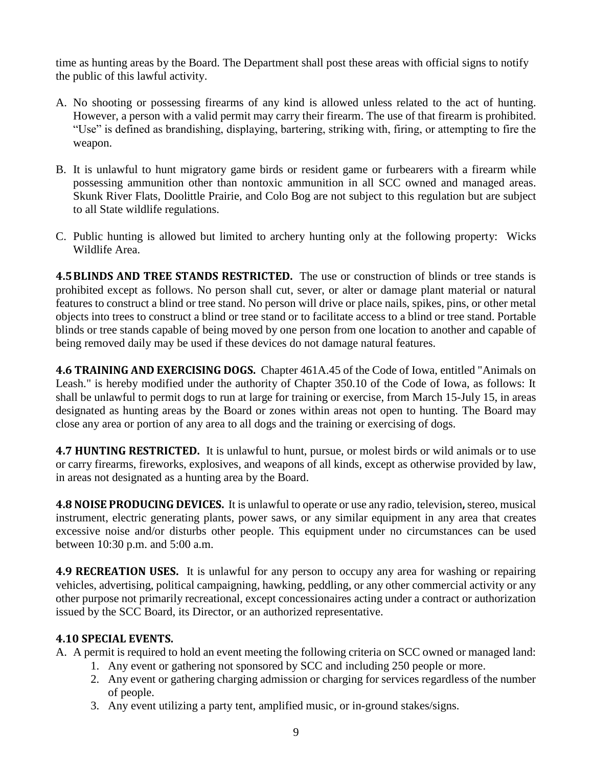time as hunting areas by the Board. The Department shall post these areas with official signs to notify the public of this lawful activity.

- A. No shooting or possessing firearms of any kind is allowed unless related to the act of hunting. However, a person with a valid permit may carry their firearm. The use of that firearm is prohibited. "Use" is defined as brandishing, displaying, bartering, striking with, firing, or attempting to fire the weapon.
- B. It is unlawful to hunt migratory game birds or resident game or furbearers with a firearm while possessing ammunition other than nontoxic ammunition in all SCC owned and managed areas. Skunk River Flats, Doolittle Prairie, and Colo Bog are not subject to this regulation but are subject to all State wildlife regulations.
- C. Public hunting is allowed but limited to archery hunting only at the following property: Wicks Wildlife Area.

**4.5BLINDS AND TREE STANDS RESTRICTED.** The use or construction of blinds or tree stands is prohibited except as follows. No person shall cut, sever, or alter or damage plant material or natural features to construct a blind or tree stand. No person will drive or place nails, spikes, pins, or other metal objects into trees to construct a blind or tree stand or to facilitate access to a blind or tree stand. Portable blinds or tree stands capable of being moved by one person from one location to another and capable of being removed daily may be used if these devices do not damage natural features.

**4.6 TRAINING AND EXERCISING DOGS.** Chapter 461A.45 of the Code of Iowa, entitled "Animals on Leash." is hereby modified under the authority of Chapter 350.10 of the Code of Iowa, as follows: It shall be unlawful to permit dogs to run at large for training or exercise, from March 15-July 15, in areas designated as hunting areas by the Board or zones within areas not open to hunting. The Board may close any area or portion of any area to all dogs and the training or exercising of dogs.

**4.7 HUNTING RESTRICTED.** It is unlawful to hunt, pursue, or molest birds or wild animals or to use or carry firearms, fireworks, explosives, and weapons of all kinds, except as otherwise provided by law, in areas not designated as a hunting area by the Board.

**4.8 NOISE PRODUCING DEVICES.** It is unlawful to operate or use any radio, television**,** stereo, musical instrument, electric generating plants, power saws, or any similar equipment in any area that creates excessive noise and/or disturbs other people. This equipment under no circumstances can be used between 10:30 p.m. and 5:00 a.m.

**4.9 RECREATION USES.** It is unlawful for any person to occupy any area for washing or repairing vehicles, advertising, political campaigning, hawking, peddling, or any other commercial activity or any other purpose not primarily recreational, except concessionaires acting under a contract or authorization issued by the SCC Board, its Director, or an authorized representative.

#### **4.10 SPECIAL EVENTS.**

A. A permit is required to hold an event meeting the following criteria on SCC owned or managed land:

- 1. Any event or gathering not sponsored by SCC and including 250 people or more.
- 2. Any event or gathering charging admission or charging for services regardless of the number of people.
- 3. Any event utilizing a party tent, amplified music, or in-ground stakes/signs.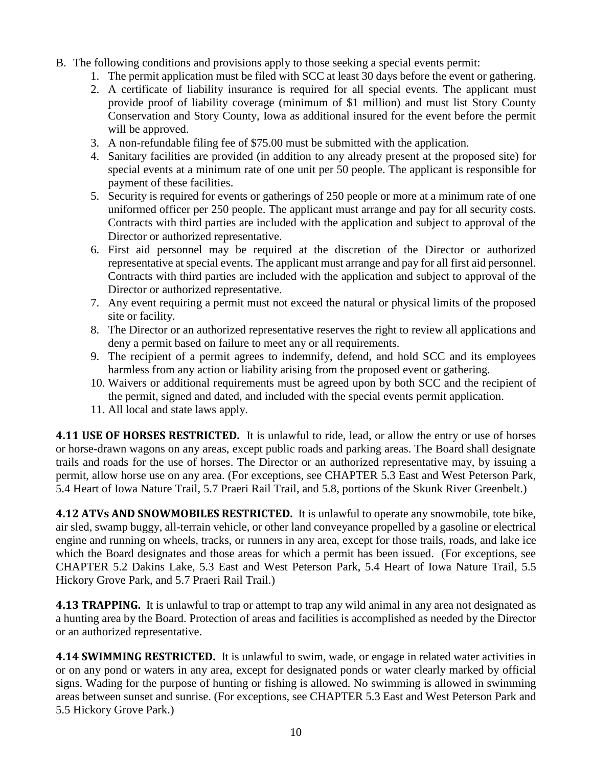- B. The following conditions and provisions apply to those seeking a special events permit:
	- 1. The permit application must be filed with SCC at least 30 days before the event or gathering.
	- 2. A certificate of liability insurance is required for all special events. The applicant must provide proof of liability coverage (minimum of \$1 million) and must list Story County Conservation and Story County, Iowa as additional insured for the event before the permit will be approved.
	- 3. A non-refundable filing fee of \$75.00 must be submitted with the application.
	- 4. Sanitary facilities are provided (in addition to any already present at the proposed site) for special events at a minimum rate of one unit per 50 people. The applicant is responsible for payment of these facilities.
	- 5. Security is required for events or gatherings of 250 people or more at a minimum rate of one uniformed officer per 250 people. The applicant must arrange and pay for all security costs. Contracts with third parties are included with the application and subject to approval of the Director or authorized representative.
	- 6. First aid personnel may be required at the discretion of the Director or authorized representative at special events. The applicant must arrange and pay for all first aid personnel. Contracts with third parties are included with the application and subject to approval of the Director or authorized representative.
	- 7. Any event requiring a permit must not exceed the natural or physical limits of the proposed site or facility.
	- 8. The Director or an authorized representative reserves the right to review all applications and deny a permit based on failure to meet any or all requirements.
	- 9. The recipient of a permit agrees to indemnify, defend, and hold SCC and its employees harmless from any action or liability arising from the proposed event or gathering.
	- 10. Waivers or additional requirements must be agreed upon by both SCC and the recipient of the permit, signed and dated, and included with the special events permit application.
	- 11. All local and state laws apply.

**4.11 USE OF HORSES RESTRICTED.** It is unlawful to ride, lead, or allow the entry or use of horses or horse-drawn wagons on any areas, except public roads and parking areas. The Board shall designate trails and roads for the use of horses. The Director or an authorized representative may, by issuing a permit, allow horse use on any area. (For exceptions, see CHAPTER 5.3 East and West Peterson Park, 5.4 Heart of Iowa Nature Trail, 5.7 Praeri Rail Trail, and 5.8, portions of the Skunk River Greenbelt.)

**4.12 ATVs AND SNOWMOBILES RESTRICTED.** It is unlawful to operate any snowmobile, tote bike, air sled, swamp buggy, all-terrain vehicle, or other land conveyance propelled by a gasoline or electrical engine and running on wheels, tracks, or runners in any area, except for those trails, roads, and lake ice which the Board designates and those areas for which a permit has been issued. (For exceptions, see CHAPTER 5.2 Dakins Lake, 5.3 East and West Peterson Park, 5.4 Heart of Iowa Nature Trail, 5.5 Hickory Grove Park, and 5.7 Praeri Rail Trail.)

**4.13 TRAPPING.** It is unlawful to trap or attempt to trap any wild animal in any area not designated as a hunting area by the Board. Protection of areas and facilities is accomplished as needed by the Director or an authorized representative.

**4.14 SWIMMING RESTRICTED.** It is unlawful to swim, wade, or engage in related water activities in or on any pond or waters in any area, except for designated ponds or water clearly marked by official signs. Wading for the purpose of hunting or fishing is allowed. No swimming is allowed in swimming areas between sunset and sunrise. (For exceptions, see CHAPTER 5.3 East and West Peterson Park and 5.5 Hickory Grove Park.)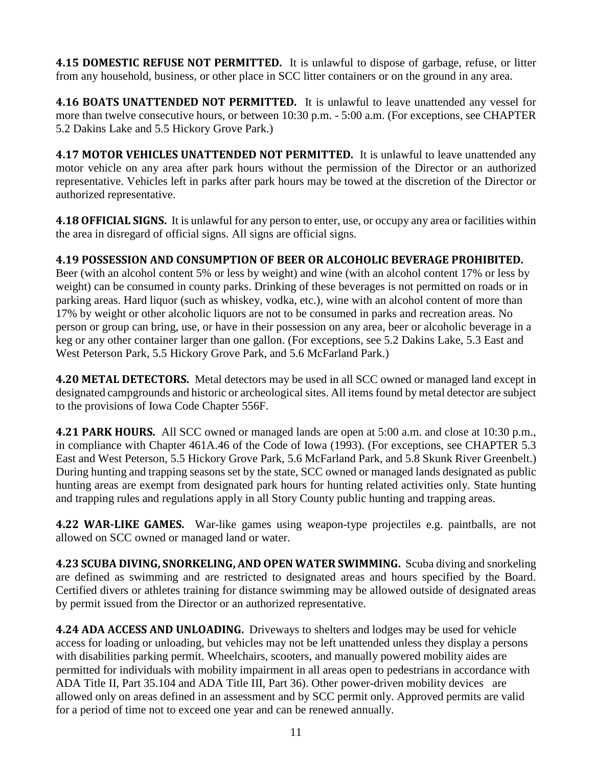**4.15 DOMESTIC REFUSE NOT PERMITTED.** It is unlawful to dispose of garbage, refuse, or litter from any household, business, or other place in SCC litter containers or on the ground in any area.

**4.16 BOATS UNATTENDED NOT PERMITTED.** It is unlawful to leave unattended any vessel for more than twelve consecutive hours, or between 10:30 p.m. - 5:00 a.m. (For exceptions, see CHAPTER 5.2 Dakins Lake and 5.5 Hickory Grove Park.)

**4.17 MOTOR VEHICLES UNATTENDED NOT PERMITTED.** It is unlawful to leave unattended any motor vehicle on any area after park hours without the permission of the Director or an authorized representative. Vehicles left in parks after park hours may be towed at the discretion of the Director or authorized representative.

**4.18 OFFICIAL SIGNS.** It is unlawful for any person to enter, use, or occupy any area or facilities within the area in disregard of official signs. All signs are official signs.

#### **4.19 POSSESSION AND CONSUMPTION OF BEER OR ALCOHOLIC BEVERAGE PROHIBITED.**

Beer (with an alcohol content 5% or less by weight) and wine (with an alcohol content 17% or less by weight) can be consumed in county parks. Drinking of these beverages is not permitted on roads or in parking areas. Hard liquor (such as whiskey, vodka, etc.), wine with an alcohol content of more than 17% by weight or other alcoholic liquors are not to be consumed in parks and recreation areas. No person or group can bring, use, or have in their possession on any area, beer or alcoholic beverage in a keg or any other container larger than one gallon. (For exceptions, see 5.2 Dakins Lake, 5.3 East and West Peterson Park, 5.5 Hickory Grove Park, and 5.6 McFarland Park.)

**4.20 METAL DETECTORS.** Metal detectors may be used in all SCC owned or managed land except in designated campgrounds and historic or archeological sites. All items found by metal detector are subject to the provisions of Iowa Code Chapter 556F.

**4.21 PARK HOURS.** All SCC owned or managed lands are open at 5:00 a.m. and close at 10:30 p.m., in compliance with Chapter 461A.46 of the Code of Iowa (1993). (For exceptions, see CHAPTER 5.3 East and West Peterson, 5.5 Hickory Grove Park, 5.6 McFarland Park, and 5.8 Skunk River Greenbelt.) During hunting and trapping seasons set by the state, SCC owned or managed lands designated as public hunting areas are exempt from designated park hours for hunting related activities only. State hunting and trapping rules and regulations apply in all Story County public hunting and trapping areas.

**4.22 WAR-LIKE GAMES.** War-like games using weapon-type projectiles e.g. paintballs, are not allowed on SCC owned or managed land or water.

**4.23 SCUBA DIVING, SNORKELING, AND OPEN WATER SWIMMING.** Scuba diving and snorkeling are defined as swimming and are restricted to designated areas and hours specified by the Board. Certified divers or athletes training for distance swimming may be allowed outside of designated areas by permit issued from the Director or an authorized representative.

**4.24 ADA ACCESS AND UNLOADING.** Driveways to shelters and lodges may be used for vehicle access for loading or unloading, but vehicles may not be left unattended unless they display a persons with disabilities parking permit. Wheelchairs, scooters, and manually powered mobility aides are permitted for individuals with mobility impairment in all areas open to pedestrians in accordance with ADA Title II, Part 35.104 and ADA Title III, Part 36). Other power-driven mobility devices are allowed only on areas defined in an assessment and by SCC permit only. Approved permits are valid for a period of time not to exceed one year and can be renewed annually.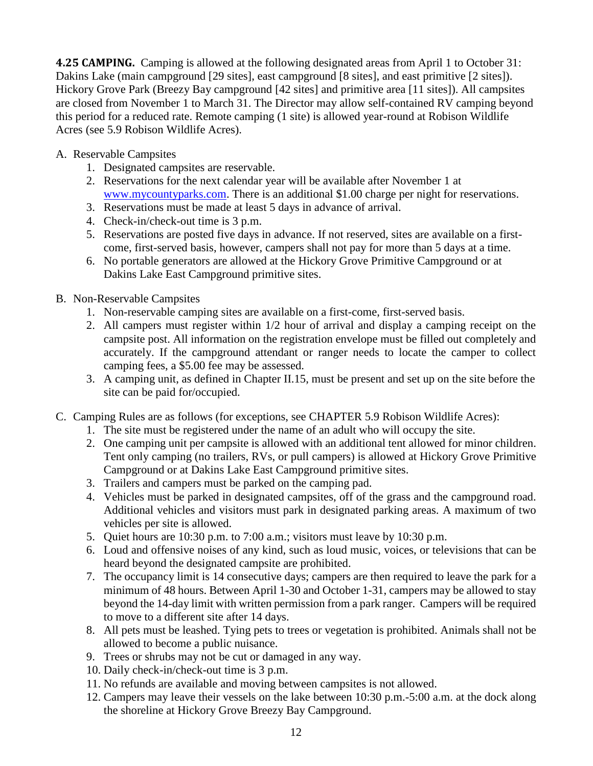**4.25 CAMPING.** Camping is allowed at the following designated areas from April 1 to October 31: Dakins Lake (main campground [29 sites], east campground [8 sites], and east primitive [2 sites]). Hickory Grove Park (Breezy Bay campground [42 sites] and primitive area [11 sites]). All campsites are closed from November 1 to March 31. The Director may allow self-contained RV camping beyond this period for a reduced rate. Remote camping (1 site) is allowed year-round at Robison Wildlife Acres (see 5.9 Robison Wildlife Acres).

#### A. Reservable Campsites

- 1. Designated campsites are reservable.
- 2. Reservations for the next calendar year will be available after November 1 at [www.mycountyparks.com.](http://www.mycountyparks.com/) There is an additional \$1.00 charge per night for reservations.
- 3. Reservations must be made at least 5 days in advance of arrival.
- 4. Check-in/check-out time is 3 p.m.
- 5. Reservations are posted five days in advance. If not reserved, sites are available on a firstcome, first-served basis, however, campers shall not pay for more than 5 days at a time.
- 6. No portable generators are allowed at the Hickory Grove Primitive Campground or at Dakins Lake East Campground primitive sites.
- B. Non-Reservable Campsites
	- 1. Non-reservable camping sites are available on a first-come, first-served basis.
	- 2. All campers must register within 1/2 hour of arrival and display a camping receipt on the campsite post. All information on the registration envelope must be filled out completely and accurately. If the campground attendant or ranger needs to locate the camper to collect camping fees, a \$5.00 fee may be assessed.
	- 3. A camping unit, as defined in Chapter II.15, must be present and set up on the site before the site can be paid for/occupied.
- C. Camping Rules are as follows (for exceptions, see CHAPTER 5.9 Robison Wildlife Acres):
	- 1. The site must be registered under the name of an adult who will occupy the site.
	- 2. One camping unit per campsite is allowed with an additional tent allowed for minor children. Tent only camping (no trailers, RVs, or pull campers) is allowed at Hickory Grove Primitive Campground or at Dakins Lake East Campground primitive sites.
	- 3. Trailers and campers must be parked on the camping pad.
	- 4. Vehicles must be parked in designated campsites, off of the grass and the campground road. Additional vehicles and visitors must park in designated parking areas. A maximum of two vehicles per site is allowed.
	- 5. Quiet hours are 10:30 p.m. to 7:00 a.m.; visitors must leave by 10:30 p.m.
	- 6. Loud and offensive noises of any kind, such as loud music, voices, or televisions that can be heard beyond the designated campsite are prohibited.
	- 7. The occupancy limit is 14 consecutive days; campers are then required to leave the park for a minimum of 48 hours. Between April 1-30 and October 1-31, campers may be allowed to stay beyond the 14-day limit with written permission from a park ranger. Campers will be required to move to a different site after 14 days.
	- 8. All pets must be leashed. Tying pets to trees or vegetation is prohibited. Animals shall not be allowed to become a public nuisance.
	- 9. Trees or shrubs may not be cut or damaged in any way.
	- 10. Daily check-in/check-out time is 3 p.m.
	- 11. No refunds are available and moving between campsites is not allowed.
	- 12. Campers may leave their vessels on the lake between 10:30 p.m.-5:00 a.m. at the dock along the shoreline at Hickory Grove Breezy Bay Campground.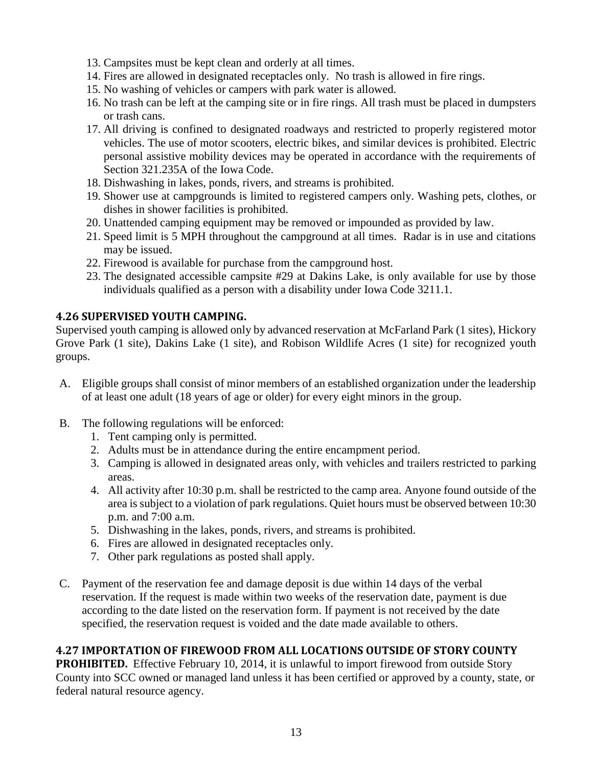- 13. Campsites must be kept clean and orderly at all times.
- 14. Fires are allowed in designated receptacles only. No trash is allowed in fire rings.
- 15. No washing of vehicles or campers with park water is allowed.
- 16. No trash can be left at the camping site or in fire rings. All trash must be placed in dumpsters or trash cans.
- 17. All driving is confined to designated roadways and restricted to properly registered motor vehicles. The use of motor scooters, electric bikes, and similar devices is prohibited. Electric personal assistive mobility devices may be operated in accordance with the requirements of Section 321.235A of the Iowa Code.
- 18. Dishwashing in lakes, ponds, rivers, and streams is prohibited.
- 19. Shower use at campgrounds is limited to registered campers only. Washing pets, clothes, or dishes in shower facilities is prohibited.
- 20. Unattended camping equipment may be removed or impounded as provided by law.
- 21. Speed limit is 5 MPH throughout the campground at all times. Radar is in use and citations may be issued.
- 22. Firewood is available for purchase from the campground host.
- 23. The designated accessible campsite #29 at Dakins Lake, is only available for use by those individuals qualified as a person with a disability under Iowa Code 3211.1.

#### **4.26 SUPERVISED YOUTH CAMPING.**

Supervised youth camping is allowed only by advanced reservation at McFarland Park (1 sites), Hickory Grove Park (1 site), Dakins Lake (1 site), and Robison Wildlife Acres (1 site) for recognized youth groups.

- A. Eligible groups shall consist of minor members of an established organization under the leadership of at least one adult (18 years of age or older) for every eight minors in the group.
- B. The following regulations will be enforced:
	- 1. Tent camping only is permitted.
	- 2. Adults must be in attendance during the entire encampment period.
	- 3. Camping is allowed in designated areas only, with vehicles and trailers restricted to parking areas.
	- 4. All activity after 10:30 p.m. shall be restricted to the camp area. Anyone found outside of the area is subject to a violation of park regulations. Quiet hours must be observed between 10:30 p.m. and 7:00 a.m.
	- 5. Dishwashing in the lakes, ponds, rivers, and streams is prohibited.
	- 6. Fires are allowed in designated receptacles only.
	- 7. Other park regulations as posted shall apply.
- C. Payment of the reservation fee and damage deposit is due within 14 days of the verbal reservation. If the request is made within two weeks of the reservation date, payment is due according to the date listed on the reservation form. If payment is not received by the date specified, the reservation request is voided and the date made available to others.

#### **4.27 IMPORTATION OF FIREWOOD FROM ALL LOCATIONS OUTSIDE OF STORY COUNTY**

**PROHIBITED.** Effective February 10, 2014, it is unlawful to import firewood from outside Story County into SCC owned or managed land unless it has been certified or approved by a county, state, or federal natural resource agency.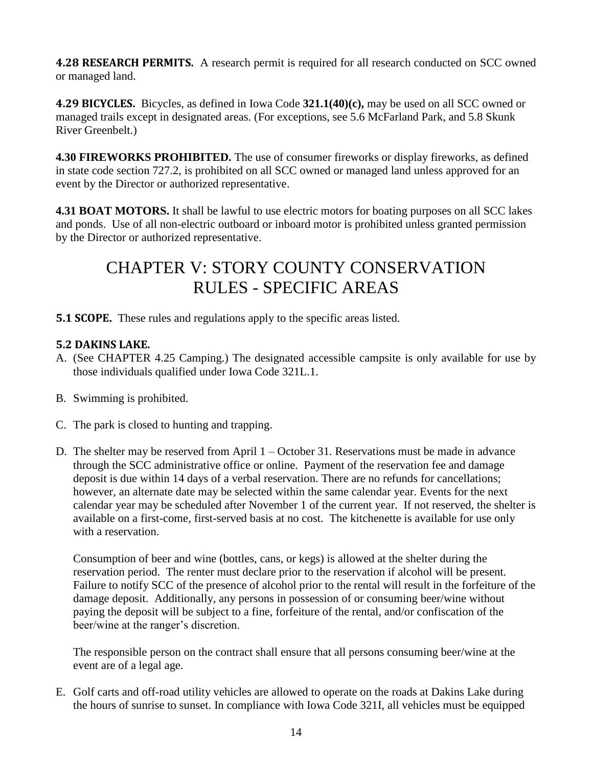**4.28 RESEARCH PERMITS.** A research permit is required for all research conducted on SCC owned or managed land.

**4.29 BICYCLES.** Bicycles, as defined in Iowa Code **321.1(40)(c),** may be used on all SCC owned or managed trails except in designated areas. (For exceptions, see 5.6 McFarland Park, and 5.8 Skunk River Greenbelt.)

**4.30 FIREWORKS PROHIBITED.** The use of consumer fireworks or display fireworks, as defined in state code section 727.2, is prohibited on all SCC owned or managed land unless approved for an event by the Director or authorized representative.

**4.31 BOAT MOTORS.** It shall be lawful to use electric motors for boating purposes on all SCC lakes and ponds. Use of all non-electric outboard or inboard motor is prohibited unless granted permission by the Director or authorized representative.

## CHAPTER V: STORY COUNTY CONSERVATION RULES - SPECIFIC AREAS

**5.1 SCOPE.** These rules and regulations apply to the specific areas listed.

#### **5.2 DAKINS LAKE.**

- A. (See CHAPTER 4.25 Camping.) The designated accessible campsite is only available for use by those individuals qualified under Iowa Code 321L.1.
- B. Swimming is prohibited.
- C. The park is closed to hunting and trapping.
- D. The shelter may be reserved from April 1 October 31. Reservations must be made in advance through the SCC administrative office or online. Payment of the reservation fee and damage deposit is due within 14 days of a verbal reservation. There are no refunds for cancellations; however, an alternate date may be selected within the same calendar year. Events for the next calendar year may be scheduled after November 1 of the current year. If not reserved, the shelter is available on a first-come, first-served basis at no cost. The kitchenette is available for use only with a reservation.

Consumption of beer and wine (bottles, cans, or kegs) is allowed at the shelter during the reservation period. The renter must declare prior to the reservation if alcohol will be present. Failure to notify SCC of the presence of alcohol prior to the rental will result in the forfeiture of the damage deposit. Additionally, any persons in possession of or consuming beer/wine without paying the deposit will be subject to a fine, forfeiture of the rental, and/or confiscation of the beer/wine at the ranger's discretion.

The responsible person on the contract shall ensure that all persons consuming beer/wine at the event are of a legal age.

E. Golf carts and off-road utility vehicles are allowed to operate on the roads at Dakins Lake during the hours of sunrise to sunset. In compliance with Iowa Code 321I, all vehicles must be equipped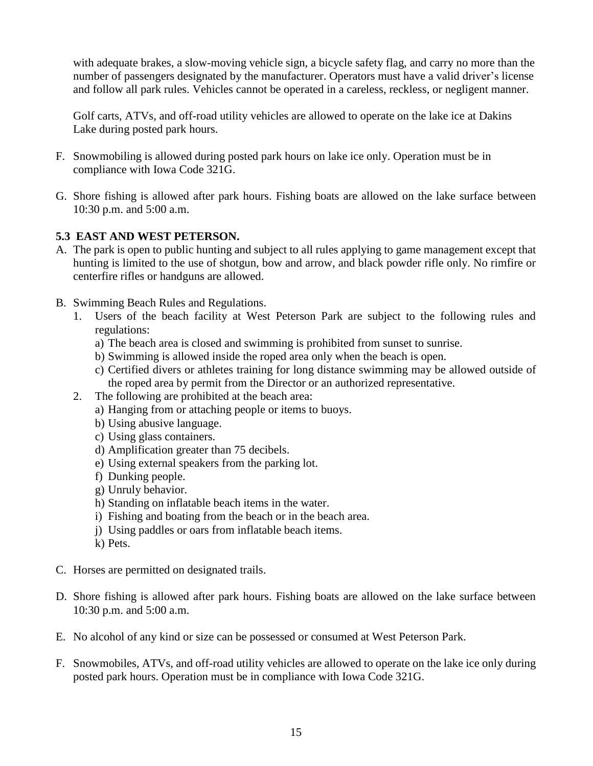with adequate brakes, a slow-moving vehicle sign, a bicycle safety flag, and carry no more than the number of passengers designated by the manufacturer. Operators must have a valid driver's license and follow all park rules. Vehicles cannot be operated in a careless, reckless, or negligent manner.

Golf carts, ATVs, and off-road utility vehicles are allowed to operate on the lake ice at Dakins Lake during posted park hours.

- F. Snowmobiling is allowed during posted park hours on lake ice only. Operation must be in compliance with Iowa Code 321G.
- G. Shore fishing is allowed after park hours. Fishing boats are allowed on the lake surface between 10:30 p.m. and 5:00 a.m.

#### **5.3 EAST AND WEST PETERSON.**

- A. The park is open to public hunting and subject to all rules applying to game management except that hunting is limited to the use of shotgun, bow and arrow, and black powder rifle only. No rimfire or centerfire rifles or handguns are allowed.
- B. Swimming Beach Rules and Regulations.
	- 1. Users of the beach facility at West Peterson Park are subject to the following rules and regulations:
		- a) The beach area is closed and swimming is prohibited from sunset to sunrise.
		- b) Swimming is allowed inside the roped area only when the beach is open.
		- c) Certified divers or athletes training for long distance swimming may be allowed outside of the roped area by permit from the Director or an authorized representative.
	- 2. The following are prohibited at the beach area:
		- a) Hanging from or attaching people or items to buoys.
		- b) Using abusive language.
		- c) Using glass containers.
		- d) Amplification greater than 75 decibels.
		- e) Using external speakers from the parking lot.
		- f) Dunking people.
		- g) Unruly behavior.
		- h) Standing on inflatable beach items in the water.
		- i) Fishing and boating from the beach or in the beach area.
		- j) Using paddles or oars from inflatable beach items.
		- k) Pets.
- C. Horses are permitted on designated trails.
- D. Shore fishing is allowed after park hours. Fishing boats are allowed on the lake surface between 10:30 p.m. and 5:00 a.m.
- E. No alcohol of any kind or size can be possessed or consumed at West Peterson Park.
- F. Snowmobiles, ATVs, and off-road utility vehicles are allowed to operate on the lake ice only during posted park hours. Operation must be in compliance with Iowa Code 321G.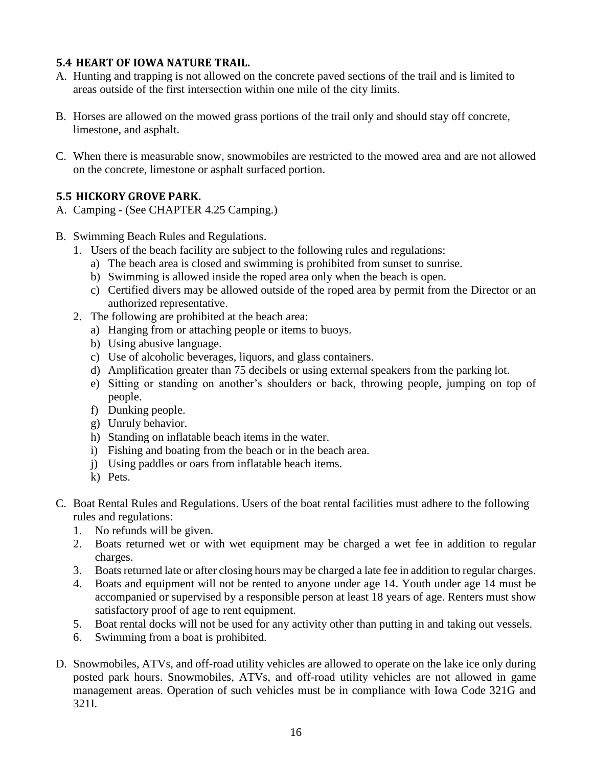#### **5.4 HEART OF IOWA NATURE TRAIL.**

- A. Hunting and trapping is not allowed on the concrete paved sections of the trail and is limited to areas outside of the first intersection within one mile of the city limits.
- B. Horses are allowed on the mowed grass portions of the trail only and should stay off concrete, limestone, and asphalt.
- C. When there is measurable snow, snowmobiles are restricted to the mowed area and are not allowed on the concrete, limestone or asphalt surfaced portion.

#### **5.5 HICKORY GROVE PARK.**

- A. Camping (See CHAPTER 4.25 Camping.)
- B. Swimming Beach Rules and Regulations.
	- 1. Users of the beach facility are subject to the following rules and regulations:
		- a) The beach area is closed and swimming is prohibited from sunset to sunrise.
		- b) Swimming is allowed inside the roped area only when the beach is open.
		- c) Certified divers may be allowed outside of the roped area by permit from the Director or an authorized representative.
	- 2. The following are prohibited at the beach area:
		- a) Hanging from or attaching people or items to buoys.
		- b) Using abusive language.
		- c) Use of alcoholic beverages, liquors, and glass containers.
		- d) Amplification greater than 75 decibels or using external speakers from the parking lot.
		- e) Sitting or standing on another's shoulders or back, throwing people, jumping on top of people.
		- f) Dunking people.
		- g) Unruly behavior.
		- h) Standing on inflatable beach items in the water.
		- i) Fishing and boating from the beach or in the beach area.
		- j) Using paddles or oars from inflatable beach items.
		- k) Pets.
- C. Boat Rental Rules and Regulations. Users of the boat rental facilities must adhere to the following rules and regulations:
	- 1. No refunds will be given.
	- 2. Boats returned wet or with wet equipment may be charged a wet fee in addition to regular charges.
	- 3. Boats returned late or after closing hours may be charged a late fee in addition to regular charges.
	- 4. Boats and equipment will not be rented to anyone under age 14. Youth under age 14 must be accompanied or supervised by a responsible person at least 18 years of age. Renters must show satisfactory proof of age to rent equipment.
	- 5. Boat rental docks will not be used for any activity other than putting in and taking out vessels.
	- 6. Swimming from a boat is prohibited.
- D. Snowmobiles, ATVs, and off-road utility vehicles are allowed to operate on the lake ice only during posted park hours. Snowmobiles, ATVs, and off-road utility vehicles are not allowed in game management areas. Operation of such vehicles must be in compliance with Iowa Code 321G and 321I.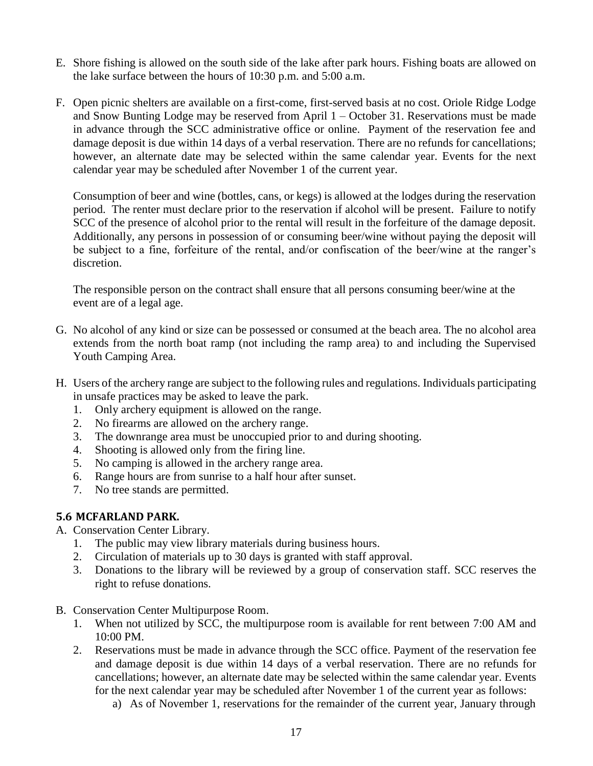- E. Shore fishing is allowed on the south side of the lake after park hours. Fishing boats are allowed on the lake surface between the hours of 10:30 p.m. and 5:00 a.m.
- F. Open picnic shelters are available on a first-come, first-served basis at no cost. Oriole Ridge Lodge and Snow Bunting Lodge may be reserved from April 1 – October 31. Reservations must be made in advance through the SCC administrative office or online. Payment of the reservation fee and damage deposit is due within 14 days of a verbal reservation. There are no refunds for cancellations; however, an alternate date may be selected within the same calendar year. Events for the next calendar year may be scheduled after November 1 of the current year.

Consumption of beer and wine (bottles, cans, or kegs) is allowed at the lodges during the reservation period. The renter must declare prior to the reservation if alcohol will be present. Failure to notify SCC of the presence of alcohol prior to the rental will result in the forfeiture of the damage deposit. Additionally, any persons in possession of or consuming beer/wine without paying the deposit will be subject to a fine, forfeiture of the rental, and/or confiscation of the beer/wine at the ranger's discretion.

The responsible person on the contract shall ensure that all persons consuming beer/wine at the event are of a legal age.

- G. No alcohol of any kind or size can be possessed or consumed at the beach area. The no alcohol area extends from the north boat ramp (not including the ramp area) to and including the Supervised Youth Camping Area.
- H. Users of the archery range are subject to the following rules and regulations. Individuals participating in unsafe practices may be asked to leave the park.
	- 1. Only archery equipment is allowed on the range.
	- 2. No firearms are allowed on the archery range.
	- 3. The downrange area must be unoccupied prior to and during shooting.
	- 4. Shooting is allowed only from the firing line.
	- 5. No camping is allowed in the archery range area.
	- 6. Range hours are from sunrise to a half hour after sunset.
	- 7. No tree stands are permitted.

#### **5.6 MCFARLAND PARK.**

- A. Conservation Center Library.
	- 1. The public may view library materials during business hours.
	- 2. Circulation of materials up to 30 days is granted with staff approval.
	- 3. Donations to the library will be reviewed by a group of conservation staff. SCC reserves the right to refuse donations.
- B. Conservation Center Multipurpose Room.
	- 1. When not utilized by SCC, the multipurpose room is available for rent between 7:00 AM and 10:00 PM.
	- 2. Reservations must be made in advance through the SCC office. Payment of the reservation fee and damage deposit is due within 14 days of a verbal reservation. There are no refunds for cancellations; however, an alternate date may be selected within the same calendar year. Events for the next calendar year may be scheduled after November 1 of the current year as follows:
		- a) As of November 1, reservations for the remainder of the current year, January through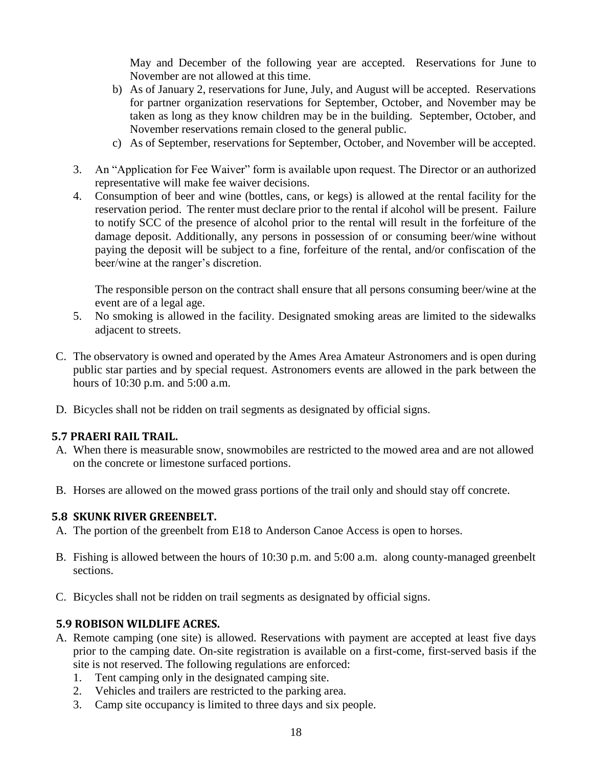May and December of the following year are accepted. Reservations for June to November are not allowed at this time.

- b) As of January 2, reservations for June, July, and August will be accepted. Reservations for partner organization reservations for September, October, and November may be taken as long as they know children may be in the building. September, October, and November reservations remain closed to the general public.
- c) As of September, reservations for September, October, and November will be accepted.
- 3. An "Application for Fee Waiver" form is available upon request. The Director or an authorized representative will make fee waiver decisions.
- 4. Consumption of beer and wine (bottles, cans, or kegs) is allowed at the rental facility for the reservation period. The renter must declare prior to the rental if alcohol will be present. Failure to notify SCC of the presence of alcohol prior to the rental will result in the forfeiture of the damage deposit. Additionally, any persons in possession of or consuming beer/wine without paying the deposit will be subject to a fine, forfeiture of the rental, and/or confiscation of the beer/wine at the ranger's discretion.

The responsible person on the contract shall ensure that all persons consuming beer/wine at the event are of a legal age.

- 5. No smoking is allowed in the facility. Designated smoking areas are limited to the sidewalks adjacent to streets.
- C. The observatory is owned and operated by the Ames Area Amateur Astronomers and is open during public star parties and by special request. Astronomers events are allowed in the park between the hours of 10:30 p.m. and 5:00 a.m.
- D. Bicycles shall not be ridden on trail segments as designated by official signs.

#### **5.7 PRAERI RAIL TRAIL.**

- A. When there is measurable snow, snowmobiles are restricted to the mowed area and are not allowed on the concrete or limestone surfaced portions.
- B. Horses are allowed on the mowed grass portions of the trail only and should stay off concrete.

#### **5.8 SKUNK RIVER GREENBELT.**

- A. The portion of the greenbelt from E18 to Anderson Canoe Access is open to horses.
- B. Fishing is allowed between the hours of 10:30 p.m. and 5:00 a.m. along county-managed greenbelt sections.
- C. Bicycles shall not be ridden on trail segments as designated by official signs.

#### **5.9 ROBISON WILDLIFE ACRES.**

- A. Remote camping (one site) is allowed. Reservations with payment are accepted at least five days prior to the camping date. On-site registration is available on a first-come, first-served basis if the site is not reserved. The following regulations are enforced:
	- 1. Tent camping only in the designated camping site.
	- 2. Vehicles and trailers are restricted to the parking area.
	- 3. Camp site occupancy is limited to three days and six people.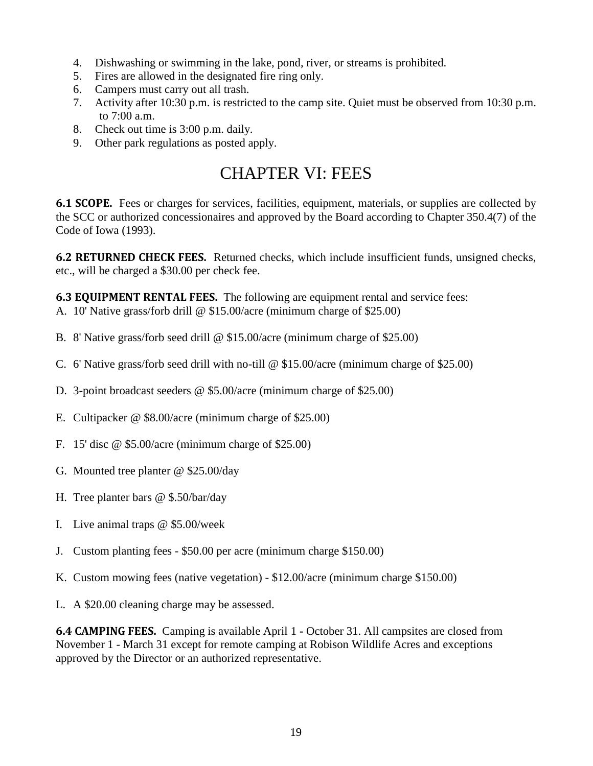- 4. Dishwashing or swimming in the lake, pond, river, or streams is prohibited.
- 5. Fires are allowed in the designated fire ring only.
- 6. Campers must carry out all trash.
- 7. Activity after 10:30 p.m. is restricted to the camp site. Quiet must be observed from 10:30 p.m. to 7:00 a.m.
- 8. Check out time is 3:00 p.m. daily.
- 9. Other park regulations as posted apply.

## CHAPTER VI: FEES

**6.1 SCOPE.** Fees or charges for services, facilities, equipment, materials, or supplies are collected by the SCC or authorized concessionaires and approved by the Board according to Chapter 350.4(7) of the Code of Iowa (1993).

**6.2 RETURNED CHECK FEES.** Returned checks, which include insufficient funds, unsigned checks, etc., will be charged a \$30.00 per check fee.

**6.3 EQUIPMENT RENTAL FEES.** The following are equipment rental and service fees:

- A. 10' Native grass/forb drill @ \$15.00/acre (minimum charge of \$25.00)
- B. 8' Native grass/forb seed drill @ \$15.00/acre (minimum charge of \$25.00)
- C. 6' Native grass/forb seed drill with no-till @ \$15.00/acre (minimum charge of \$25.00)
- D. 3-point broadcast seeders @ \$5.00/acre (minimum charge of \$25.00)
- E. Cultipacker @ \$8.00/acre (minimum charge of \$25.00)
- F. 15' disc @ \$5.00/acre (minimum charge of \$25.00)
- G. Mounted tree planter @ \$25.00/day
- H. Tree planter bars @ \$.50/bar/day
- I. Live animal traps @ \$5.00/week
- J. Custom planting fees \$50.00 per acre (minimum charge \$150.00)
- K. Custom mowing fees (native vegetation) \$12.00/acre (minimum charge \$150.00)
- L. A \$20.00 cleaning charge may be assessed.

**6.4 CAMPING FEES.** Camping is available April 1 **-** October 31. All campsites are closed from November 1 - March 31 except for remote camping at Robison Wildlife Acres and exceptions approved by the Director or an authorized representative.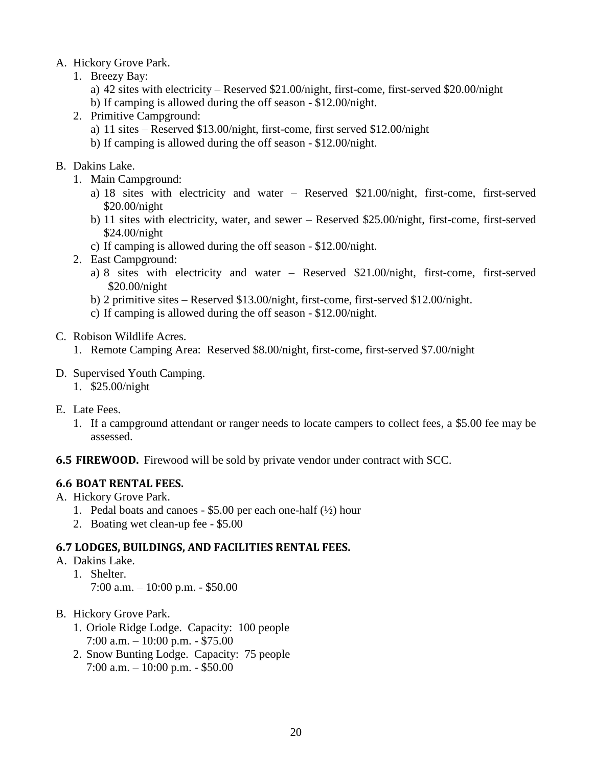#### A. Hickory Grove Park.

- 1. Breezy Bay:
	- a) 42 sites with electricity Reserved \$21.00/night, first-come, first-served \$20.00/night b) If camping is allowed during the off season - \$12.00/night.
	-
- 2. Primitive Campground:
	- a) 11 sites Reserved \$13.00/night, first-come, first served \$12.00/night
	- b) If camping is allowed during the off season \$12.00/night.

#### B. Dakins Lake.

- 1. Main Campground:
	- a) 18 sites with electricity and water Reserved \$21.00/night, first-come, first-served \$20.00/night
	- b) 11 sites with electricity, water, and sewer Reserved \$25.00/night, first-come, first-served \$24.00/night
	- c) If camping is allowed during the off season \$12.00/night.
- 2. East Campground:
	- a) 8 sites with electricity and water Reserved \$21.00/night, first-come, first-served \$20.00/night
	- b) 2 primitive sites Reserved \$13.00/night, first-come, first-served \$12.00/night.
	- c) If camping is allowed during the off season \$12.00/night.

#### C. Robison Wildlife Acres.

1. Remote Camping Area: Reserved \$8.00/night, first-come, first-served \$7.00/night

#### D. Supervised Youth Camping.

- 1. \$25.00/night
- E. Late Fees.
	- 1. If a campground attendant or ranger needs to locate campers to collect fees, a \$5.00 fee may be assessed.

#### **6.5 FIREWOOD.** Firewood will be sold by private vendor under contract with SCC.

#### **6.6 BOAT RENTAL FEES.**

- A. Hickory Grove Park.
	- 1. Pedal boats and canoes  $$5.00$  per each one-half ( $\frac{1}{2}$ ) hour
	- 2. Boating wet clean-up fee \$5.00

#### **6.7 LODGES, BUILDINGS, AND FACILITIES RENTAL FEES.**

- A. Dakins Lake.
	- 1. Shelter. 7:00 a.m. – 10:00 p.m. - \$50.00
- B. Hickory Grove Park.
	- 1. Oriole Ridge Lodge. Capacity: 100 people 7:00 a.m. – 10:00 p.m. - \$75.00
	- 2. Snow Bunting Lodge. Capacity: 75 people 7:00 a.m. – 10:00 p.m. - \$50.00